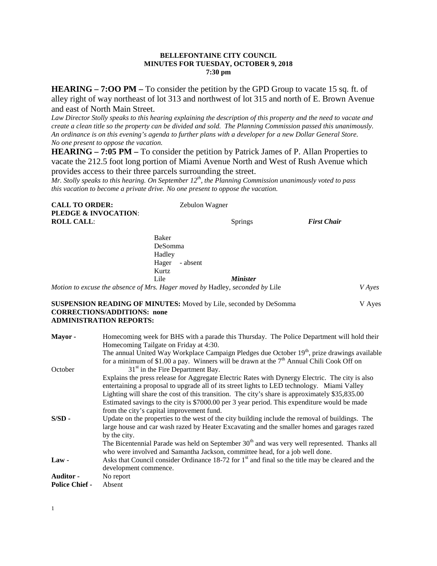#### **BELLEFONTAINE CITY COUNCIL MINUTES FOR TUESDAY, OCTOBER 9, 2018 7:30 pm**

**HEARING – 7:OO PM –** To consider the petition by the GPD Group to vacate 15 sq. ft. of alley right of way northeast of lot 313 and northwest of lot 315 and north of E. Brown Avenue and east of North Main Street.

*Law Director Stolly speaks to this hearing explaining the description of this property and the need to vacate and create a clean title so the property can be divided and sold. The Planning Commission passed this unanimously. An ordinance is on this evening's agenda to further plans with a developer for a new Dollar General Store. No one present to oppose the vacation.*

**HEARING – 7:05 PM –** To consider the petition by Patrick James of P. Allan Properties to vacate the 212.5 foot long portion of Miami Avenue North and West of Rush Avenue which provides access to their three parcels surrounding the street.

*Mr. Stolly speaks to this hearing. On September 12th, the Planning Commission unanimously voted to pass this vacation to become a private drive. No one present to oppose the vacation.*

| <b>CALL TO ORDER:</b>           | Zebulon Wagner |                    |
|---------------------------------|----------------|--------------------|
| <b>PLEDGE &amp; INVOCATION:</b> |                |                    |
| <b>ROLL CALL:</b>               | <b>Springs</b> | <b>First Chair</b> |
|                                 |                |                    |

| Baker             |                                                                              |               |
|-------------------|------------------------------------------------------------------------------|---------------|
| DeSomma           |                                                                              |               |
| Hadley            |                                                                              |               |
| - absent<br>Hager |                                                                              |               |
| Kurtz             |                                                                              |               |
| Lile              | <i><b>Minister</b></i>                                                       |               |
|                   | Motion to excuse the absence of Mrs. Hager moved by Hadley, seconded by Lile | <i>V</i> Ayes |

#### **SUSPENSION READING OF MINUTES:** Moved by Lile, seconded by DeSomma V Ayes **CORRECTIONS/ADDITIONS: none ADMINISTRATION REPORTS:**

| Mayor-                | Homecoming week for BHS with a parade this Thursday. The Police Department will hold their<br>Homecoming Tailgate on Friday at 4:30.                                                                                                                                                                                                                                                                       |
|-----------------------|------------------------------------------------------------------------------------------------------------------------------------------------------------------------------------------------------------------------------------------------------------------------------------------------------------------------------------------------------------------------------------------------------------|
|                       | The annual United Way Workplace Campaign Pledges due October 19 <sup>th</sup> , prize drawings available<br>for a minimum of \$1.00 a pay. Winners will be drawn at the $7th$ Annual Chili Cook Off on                                                                                                                                                                                                     |
| October               | $31st$ in the Fire Department Bay.                                                                                                                                                                                                                                                                                                                                                                         |
|                       | Explains the press release for Aggregate Electric Rates with Dynergy Electric. The city is also<br>entertaining a proposal to upgrade all of its street lights to LED technology. Miami Valley                                                                                                                                                                                                             |
|                       | Lighting will share the cost of this transition. The city's share is approximately \$35,835.00<br>Estimated savings to the city is \$7000.00 per 3 year period. This expenditure would be made<br>from the city's capital improvement fund.                                                                                                                                                                |
| $S/SD -$              | Update on the properties to the west of the city building include the removal of buildings. The<br>large house and car wash razed by Heater Excavating and the smaller homes and garages razed<br>by the city.<br>The Bicentennial Parade was held on September 30 <sup>th</sup> and was very well represented. Thanks all<br>who were involved and Samantha Jackson, committee head, for a job well done. |
| $Law -$               | Asks that Council consider Ordinance 18-72 for 1 <sup>st</sup> and final so the title may be cleared and the<br>development commence.                                                                                                                                                                                                                                                                      |
| <b>Auditor -</b>      | No report                                                                                                                                                                                                                                                                                                                                                                                                  |
| <b>Police Chief -</b> | Absent                                                                                                                                                                                                                                                                                                                                                                                                     |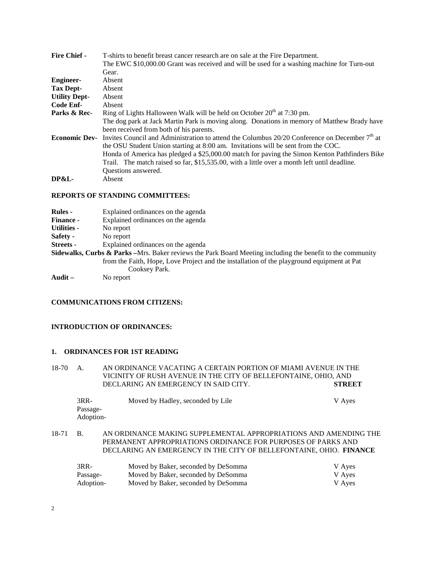| <b>Fire Chief -</b>  | T-shirts to benefit breast cancer research are on sale at the Fire Department.                            |
|----------------------|-----------------------------------------------------------------------------------------------------------|
|                      | The EWC \$10,000.00 Grant was received and will be used for a washing machine for Turn-out                |
|                      | Gear.                                                                                                     |
| <b>Engineer-</b>     | Absent                                                                                                    |
| Tax Dept-            | Absent                                                                                                    |
| <b>Utility Dept-</b> | Absent                                                                                                    |
| Code Enf-            | Absent                                                                                                    |
| Parks & Rec-         | Ring of Lights Halloween Walk will be held on October 20 <sup>th</sup> at 7:30 pm.                        |
|                      | The dog park at Jack Martin Park is moving along. Donations in memory of Matthew Brady have               |
|                      | been received from both of his parents.                                                                   |
| <b>Economic Dev-</b> | Invites Council and Administration to attend the Columbus 20/20 Conference on December 7 <sup>th</sup> at |
|                      | the OSU Student Union starting at 8:00 am. Invitations will be sent from the COC.                         |
|                      | Honda of America has pledged a \$25,000.00 match for paving the Simon Kenton Pathfinders Bike             |
|                      | Trail. The match raised so far, \$15,535.00, with a little over a month left until deadline.              |
|                      | Questions answered.                                                                                       |
| DP&L-                | Absent                                                                                                    |
|                      |                                                                                                           |

#### **REPORTS OF STANDING COMMITTEES:**

| <b>Rules</b> -     | Explained ordinances on the agenda                                                                                     |
|--------------------|------------------------------------------------------------------------------------------------------------------------|
| <b>Finance -</b>   | Explained ordinances on the agenda                                                                                     |
| <b>Utilities -</b> | No report                                                                                                              |
| Safety -           | No report                                                                                                              |
| <b>Streets</b> -   | Explained ordinances on the agenda                                                                                     |
|                    | <b>Sidewalks, Curbs &amp; Parks</b> – Mrs. Baker reviews the Park Board Meeting including the benefit to the community |
|                    | from the Faith, Hope, Love Project and the installation of the playground equipment at Pat                             |
|                    | Cooksey Park.                                                                                                          |
| Audit $-$          | No report                                                                                                              |

#### **COMMUNICATIONS FROM CITIZENS:**

## **INTRODUCTION OF ORDINANCES:**

### **1. ORDINANCES FOR 1ST READING**

18-70 A. AN ORDINANCE VACATING A CERTAIN PORTION OF MIAMI AVENUE IN THE VICINITY OF RUSH AVENUE IN THE CITY OF BELLEFONTAINE, OHIO, AND DECLARING AN EMERGENCY IN SAID CITY. **STREET** DECLARING AN EMERGENCY IN SAID CITY.

| 3RR-      | Moved by Hadley, seconded by Lile | V Ayes |
|-----------|-----------------------------------|--------|
| Passage-  |                                   |        |
| Adoption- |                                   |        |
|           |                                   |        |

18-71 B. AN ORDINANCE MAKING SUPPLEMENTAL APPROPRIATIONS AND AMENDING THE PERMANENT APPROPRIATIONS ORDINANCE FOR PURPOSES OF PARKS AND DECLARING AN EMERGENCY IN THE CITY OF BELLEFONTAINE, OHIO. **FINANCE**

| 3RR-      | Moved by Baker, seconded by DeSomma | V Ayes |
|-----------|-------------------------------------|--------|
| Passage-  | Moved by Baker, seconded by DeSomma | V Ayes |
| Adoption- | Moved by Baker, seconded by DeSomma | V Ayes |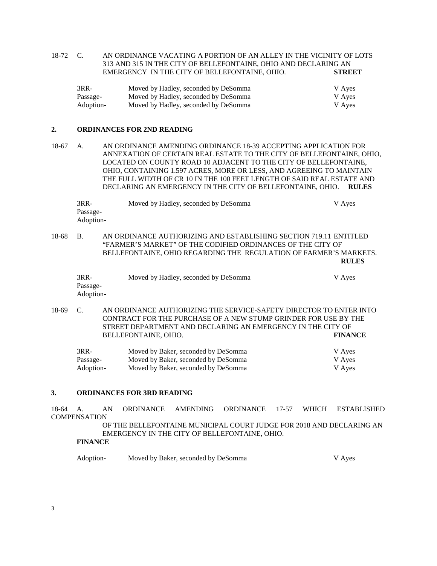18-72 C. AN ORDINANCE VACATING A PORTION OF AN ALLEY IN THE VICINITY OF LOTS 313 AND 315 IN THE CITY OF BELLEFONTAINE, OHIO AND DECLARING AN EMERGENCY IN THE CITY OF BELLEFONTAINE, OHIO. **STREET**

| $3RR-$    | Moved by Hadley, seconded by DeSomma | V Ayes |
|-----------|--------------------------------------|--------|
| Passage-  | Moved by Hadley, seconded by DeSomma | V Ayes |
| Adoption- | Moved by Hadley, seconded by DeSomma | V Ayes |

## **2. ORDINANCES FOR 2ND READING**

18-67 A. AN ORDINANCE AMENDING ORDINANCE 18-39 ACCEPTING APPLICATION FOR ANNEXATION OF CERTAIN REAL ESTATE TO THE CITY OF BELLEFONTAINE, OHIO, LOCATED ON COUNTY ROAD 10 ADJACENT TO THE CITY OF BELLEFONTAINE, OHIO, CONTAINING 1.597 ACRES, MORE OR LESS, AND AGREEING TO MAINTAIN THE FULL WIDTH OF CR 10 IN THE 100 FEET LENGTH OF SAID REAL ESTATE AND DECLARING AN EMERGENCY IN THE CITY OF BELLEFONTAINE, OHIO. **RULES**

| 3RR-      | Moved by Hadley, seconded by DeSomma | V Aves |
|-----------|--------------------------------------|--------|
| Passage-  |                                      |        |
| Adoption- |                                      |        |
|           |                                      |        |

18-68 B. AN ORDINANCE AUTHORIZING AND ESTABLISHING SECTION 719.11 ENTITLED "FARMER'S MARKET" OF THE CODIFIED ORDINANCES OF THE CITY OF BELLEFONTAINE, OHIO REGARDING THE REGULATION OF FARMER'S MARKETS. **RULES**

| 3RR-      | Moved by Hadley, seconded by DeSomma | V Aves |
|-----------|--------------------------------------|--------|
| Passage-  |                                      |        |
| Adoption- |                                      |        |

18-69 C. AN ORDINANCE AUTHORIZING THE SERVICE-SAFETY DIRECTOR TO ENTER INTO CONTRACT FOR THE PURCHASE OF A NEW STUMP GRINDER FOR USE BY THE STREET DEPARTMENT AND DECLARING AN EMERGENCY IN THE CITY OF BELLEFONTAINE. OHIO. BELLEFONTAINE, OHIO.

| 3RR-      | Moved by Baker, seconded by DeSomma | V Ayes |
|-----------|-------------------------------------|--------|
| Passage-  | Moved by Baker, seconded by DeSomma | V Ayes |
| Adoption- | Moved by Baker, seconded by DeSomma | V Ayes |

#### **3. ORDINANCES FOR 3RD READING**

18-64 A. AN ORDINANCE AMENDING ORDINANCE 17-57 WHICH ESTABLISHED **COMPENSATION** 

> OF THE BELLEFONTAINE MUNICIPAL COURT JUDGE FOR 2018 AND DECLARING AN EMERGENCY IN THE CITY OF BELLEFONTAINE, OHIO.

## **FINANCE**

| Adoption-<br>Moved by Baker, seconded by DeSomma | V Aves |
|--------------------------------------------------|--------|
|--------------------------------------------------|--------|